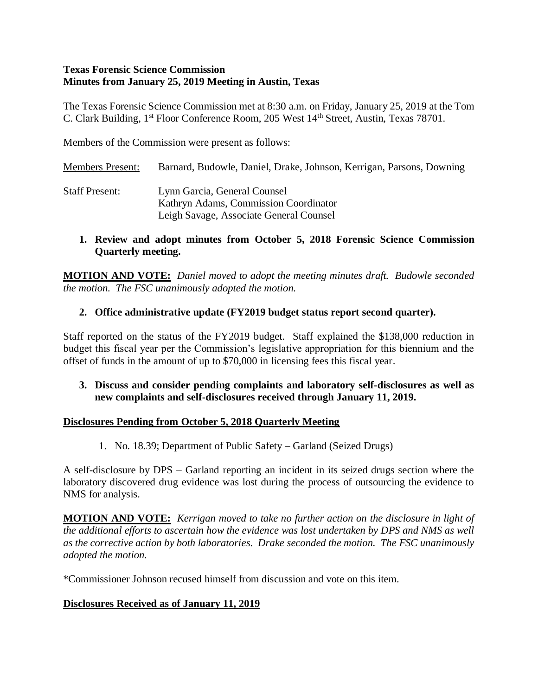### **Texas Forensic Science Commission Minutes from January 25, 2019 Meeting in Austin, Texas**

The Texas Forensic Science Commission met at 8:30 a.m. on Friday, January 25, 2019 at the Tom C. Clark Building, 1<sup>st</sup> Floor Conference Room, 205 West 14<sup>th</sup> Street, Austin, Texas 78701.

Members of the Commission were present as follows:

Members Present: Barnard, Budowle, Daniel, Drake, Johnson, Kerrigan, Parsons, Downing Staff Present: Lynn Garcia, General Counsel Kathryn Adams, Commission Coordinator Leigh Savage, Associate General Counsel

### **1. Review and adopt minutes from October 5, 2018 Forensic Science Commission Quarterly meeting.**

**MOTION AND VOTE:** *Daniel moved to adopt the meeting minutes draft. Budowle seconded the motion. The FSC unanimously adopted the motion.*

## **2. Office administrative update (FY2019 budget status report second quarter).**

Staff reported on the status of the FY2019 budget. Staff explained the \$138,000 reduction in budget this fiscal year per the Commission's legislative appropriation for this biennium and the offset of funds in the amount of up to \$70,000 in licensing fees this fiscal year.

## **3. Discuss and consider pending complaints and laboratory self-disclosures as well as new complaints and self-disclosures received through January 11, 2019.**

## **Disclosures Pending from October 5, 2018 Quarterly Meeting**

1. No. 18.39; Department of Public Safety – Garland (Seized Drugs)

A self-disclosure by DPS – Garland reporting an incident in its seized drugs section where the laboratory discovered drug evidence was lost during the process of outsourcing the evidence to NMS for analysis.

**MOTION AND VOTE:** *Kerrigan moved to take no further action on the disclosure in light of the additional efforts to ascertain how the evidence was lost undertaken by DPS and NMS as well as the corrective action by both laboratories. Drake seconded the motion. The FSC unanimously adopted the motion.*

\*Commissioner Johnson recused himself from discussion and vote on this item.

## **Disclosures Received as of January 11, 2019**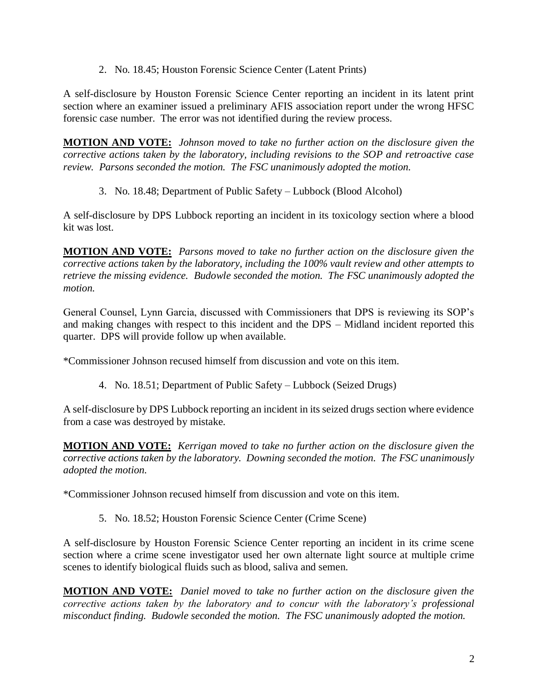2. No. 18.45; Houston Forensic Science Center (Latent Prints)

A self-disclosure by Houston Forensic Science Center reporting an incident in its latent print section where an examiner issued a preliminary AFIS association report under the wrong HFSC forensic case number. The error was not identified during the review process.

**MOTION AND VOTE:** *Johnson moved to take no further action on the disclosure given the corrective actions taken by the laboratory, including revisions to the SOP and retroactive case review. Parsons seconded the motion. The FSC unanimously adopted the motion.*

3. No. 18.48; Department of Public Safety – Lubbock (Blood Alcohol)

A self-disclosure by DPS Lubbock reporting an incident in its toxicology section where a blood kit was lost.

**MOTION AND VOTE:** *Parsons moved to take no further action on the disclosure given the corrective actions taken by the laboratory, including the 100% vault review and other attempts to retrieve the missing evidence. Budowle seconded the motion. The FSC unanimously adopted the motion.*

General Counsel, Lynn Garcia, discussed with Commissioners that DPS is reviewing its SOP's and making changes with respect to this incident and the DPS – Midland incident reported this quarter. DPS will provide follow up when available.

\*Commissioner Johnson recused himself from discussion and vote on this item.

4. No. 18.51; Department of Public Safety – Lubbock (Seized Drugs)

A self-disclosure by DPS Lubbock reporting an incident in its seized drugs section where evidence from a case was destroyed by mistake.

**MOTION AND VOTE:** *Kerrigan moved to take no further action on the disclosure given the corrective actions taken by the laboratory. Downing seconded the motion. The FSC unanimously adopted the motion.*

\*Commissioner Johnson recused himself from discussion and vote on this item.

5. No. 18.52; Houston Forensic Science Center (Crime Scene)

A self-disclosure by Houston Forensic Science Center reporting an incident in its crime scene section where a crime scene investigator used her own alternate light source at multiple crime scenes to identify biological fluids such as blood, saliva and semen.

**MOTION AND VOTE:** *Daniel moved to take no further action on the disclosure given the corrective actions taken by the laboratory and to concur with the laboratory's professional misconduct finding. Budowle seconded the motion. The FSC unanimously adopted the motion.*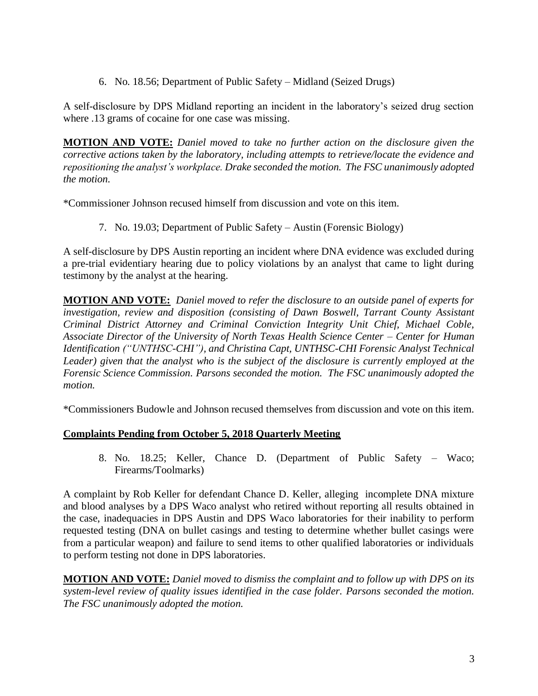6. No. 18.56; Department of Public Safety – Midland (Seized Drugs)

A self-disclosure by DPS Midland reporting an incident in the laboratory's seized drug section where .13 grams of cocaine for one case was missing.

**MOTION AND VOTE:** *Daniel moved to take no further action on the disclosure given the corrective actions taken by the laboratory, including attempts to retrieve/locate the evidence and repositioning the analyst's workplace. Drake seconded the motion. The FSC unanimously adopted the motion.*

\*Commissioner Johnson recused himself from discussion and vote on this item.

7. No. 19.03; Department of Public Safety – Austin (Forensic Biology)

A self-disclosure by DPS Austin reporting an incident where DNA evidence was excluded during a pre-trial evidentiary hearing due to policy violations by an analyst that came to light during testimony by the analyst at the hearing.

**MOTION AND VOTE:** *Daniel moved to refer the disclosure to an outside panel of experts for investigation, review and disposition (consisting of Dawn Boswell, Tarrant County Assistant Criminal District Attorney and Criminal Conviction Integrity Unit Chief, Michael Coble, Associate Director of the University of North Texas Health Science Center – Center for Human Identification ("UNTHSC-CHI"), and Christina Capt, UNTHSC-CHI Forensic Analyst Technical Leader) given that the analyst who is the subject of the disclosure is currently employed at the Forensic Science Commission. Parsons seconded the motion. The FSC unanimously adopted the motion.*

\*Commissioners Budowle and Johnson recused themselves from discussion and vote on this item.

## **Complaints Pending from October 5, 2018 Quarterly Meeting**

8. No. 18.25; Keller, Chance D. (Department of Public Safety – Waco; Firearms/Toolmarks)

A complaint by Rob Keller for defendant Chance D. Keller, alleging incomplete DNA mixture and blood analyses by a DPS Waco analyst who retired without reporting all results obtained in the case, inadequacies in DPS Austin and DPS Waco laboratories for their inability to perform requested testing (DNA on bullet casings and testing to determine whether bullet casings were from a particular weapon) and failure to send items to other qualified laboratories or individuals to perform testing not done in DPS laboratories.

**MOTION AND VOTE:** *Daniel moved to dismiss the complaint and to follow up with DPS on its system-level review of quality issues identified in the case folder. Parsons seconded the motion. The FSC unanimously adopted the motion.*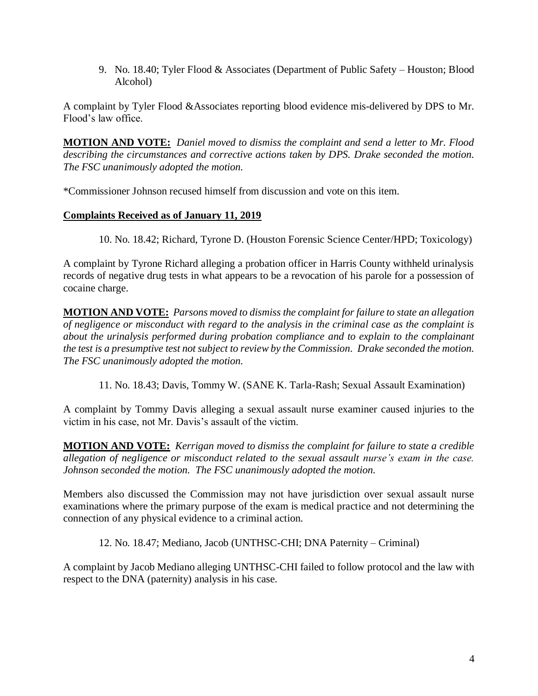9. No. 18.40; Tyler Flood & Associates (Department of Public Safety – Houston; Blood Alcohol)

A complaint by Tyler Flood &Associates reporting blood evidence mis-delivered by DPS to Mr. Flood's law office.

**MOTION AND VOTE:** *Daniel moved to dismiss the complaint and send a letter to Mr. Flood describing the circumstances and corrective actions taken by DPS. Drake seconded the motion. The FSC unanimously adopted the motion.*

\*Commissioner Johnson recused himself from discussion and vote on this item.

## **Complaints Received as of January 11, 2019**

10. No. 18.42; Richard, Tyrone D. (Houston Forensic Science Center/HPD; Toxicology)

A complaint by Tyrone Richard alleging a probation officer in Harris County withheld urinalysis records of negative drug tests in what appears to be a revocation of his parole for a possession of cocaine charge.

**MOTION AND VOTE:** *Parsons moved to dismiss the complaint for failure to state an allegation of negligence or misconduct with regard to the analysis in the criminal case as the complaint is about the urinalysis performed during probation compliance and to explain to the complainant the test is a presumptive test not subject to review by the Commission. Drake seconded the motion. The FSC unanimously adopted the motion.*

11. No. 18.43; Davis, Tommy W. (SANE K. Tarla-Rash; Sexual Assault Examination)

A complaint by Tommy Davis alleging a sexual assault nurse examiner caused injuries to the victim in his case, not Mr. Davis's assault of the victim.

**MOTION AND VOTE:** *Kerrigan moved to dismiss the complaint for failure to state a credible allegation of negligence or misconduct related to the sexual assault nurse's exam in the case. Johnson seconded the motion. The FSC unanimously adopted the motion.*

Members also discussed the Commission may not have jurisdiction over sexual assault nurse examinations where the primary purpose of the exam is medical practice and not determining the connection of any physical evidence to a criminal action.

12. No. 18.47; Mediano, Jacob (UNTHSC-CHI; DNA Paternity – Criminal)

A complaint by Jacob Mediano alleging UNTHSC-CHI failed to follow protocol and the law with respect to the DNA (paternity) analysis in his case.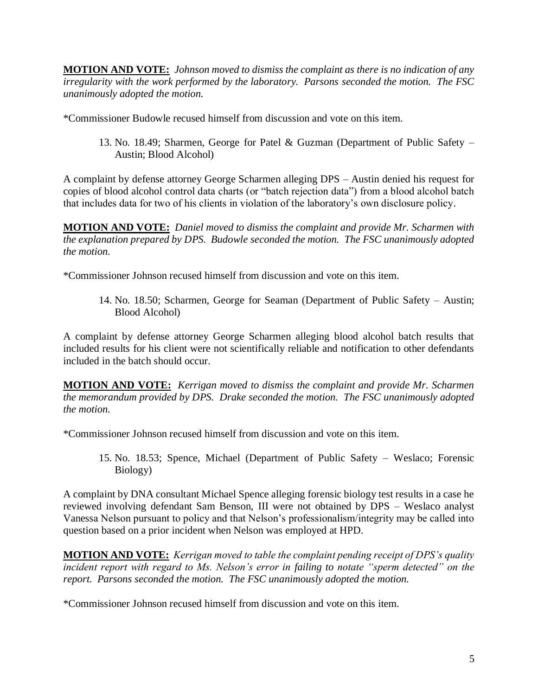**MOTION AND VOTE:** *Johnson moved to dismiss the complaint as there is no indication of any irregularity with the work performed by the laboratory. Parsons seconded the motion. The FSC unanimously adopted the motion.*

\*Commissioner Budowle recused himself from discussion and vote on this item.

13. No. 18.49; Sharmen, George for Patel & Guzman (Department of Public Safety – Austin; Blood Alcohol)

A complaint by defense attorney George Scharmen alleging DPS – Austin denied his request for copies of blood alcohol control data charts (or "batch rejection data") from a blood alcohol batch that includes data for two of his clients in violation of the laboratory's own disclosure policy.

**MOTION AND VOTE:** *Daniel moved to dismiss the complaint and provide Mr. Scharmen with the explanation prepared by DPS. Budowle seconded the motion. The FSC unanimously adopted the motion.*

\*Commissioner Johnson recused himself from discussion and vote on this item.

14. No. 18.50; Scharmen, George for Seaman (Department of Public Safety – Austin; Blood Alcohol)

A complaint by defense attorney George Scharmen alleging blood alcohol batch results that included results for his client were not scientifically reliable and notification to other defendants included in the batch should occur.

**MOTION AND VOTE:** *Kerrigan moved to dismiss the complaint and provide Mr. Scharmen the memorandum provided by DPS. Drake seconded the motion. The FSC unanimously adopted the motion.*

\*Commissioner Johnson recused himself from discussion and vote on this item.

15. No. 18.53; Spence, Michael (Department of Public Safety – Weslaco; Forensic Biology)

A complaint by DNA consultant Michael Spence alleging forensic biology test results in a case he reviewed involving defendant Sam Benson, III were not obtained by DPS – Weslaco analyst Vanessa Nelson pursuant to policy and that Nelson's professionalism/integrity may be called into question based on a prior incident when Nelson was employed at HPD.

**MOTION AND VOTE:** *Kerrigan moved to table the complaint pending receipt of DPS's quality incident report with regard to Ms. Nelson's error in failing to notate "sperm detected" on the report. Parsons seconded the motion. The FSC unanimously adopted the motion.*

\*Commissioner Johnson recused himself from discussion and vote on this item.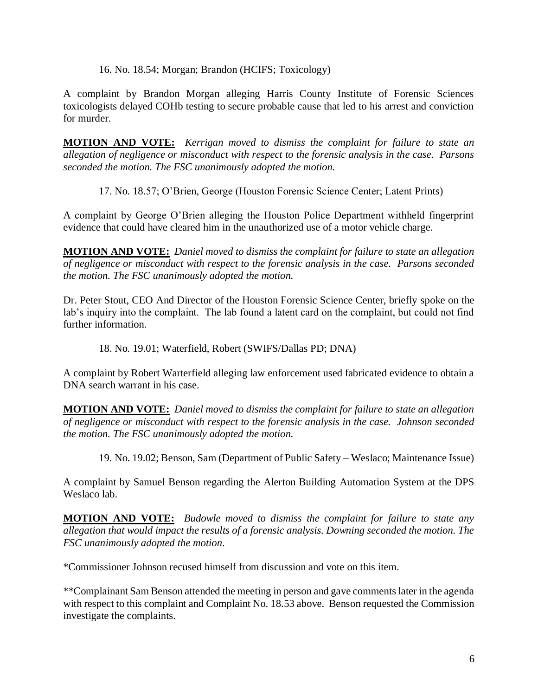16. No. 18.54; Morgan; Brandon (HCIFS; Toxicology)

A complaint by Brandon Morgan alleging Harris County Institute of Forensic Sciences toxicologists delayed COHb testing to secure probable cause that led to his arrest and conviction for murder.

**MOTION AND VOTE:** *Kerrigan moved to dismiss the complaint for failure to state an allegation of negligence or misconduct with respect to the forensic analysis in the case. Parsons seconded the motion. The FSC unanimously adopted the motion.*

17. No. 18.57; O'Brien, George (Houston Forensic Science Center; Latent Prints)

A complaint by George O'Brien alleging the Houston Police Department withheld fingerprint evidence that could have cleared him in the unauthorized use of a motor vehicle charge.

**MOTION AND VOTE:** *Daniel moved to dismiss the complaint for failure to state an allegation of negligence or misconduct with respect to the forensic analysis in the case. Parsons seconded the motion. The FSC unanimously adopted the motion.*

Dr. Peter Stout, CEO And Director of the Houston Forensic Science Center, briefly spoke on the lab's inquiry into the complaint. The lab found a latent card on the complaint, but could not find further information.

18. No. 19.01; Waterfield, Robert (SWIFS/Dallas PD; DNA)

A complaint by Robert Warterfield alleging law enforcement used fabricated evidence to obtain a DNA search warrant in his case.

**MOTION AND VOTE:** *Daniel moved to dismiss the complaint for failure to state an allegation of negligence or misconduct with respect to the forensic analysis in the case. Johnson seconded the motion. The FSC unanimously adopted the motion.*

19. No. 19.02; Benson, Sam (Department of Public Safety – Weslaco; Maintenance Issue)

A complaint by Samuel Benson regarding the Alerton Building Automation System at the DPS Weslaco lab.

**MOTION AND VOTE:** *Budowle moved to dismiss the complaint for failure to state any allegation that would impact the results of a forensic analysis. Downing seconded the motion. The FSC unanimously adopted the motion.*

\*Commissioner Johnson recused himself from discussion and vote on this item.

\*\*Complainant Sam Benson attended the meeting in person and gave comments later in the agenda with respect to this complaint and Complaint No. 18.53 above. Benson requested the Commission investigate the complaints.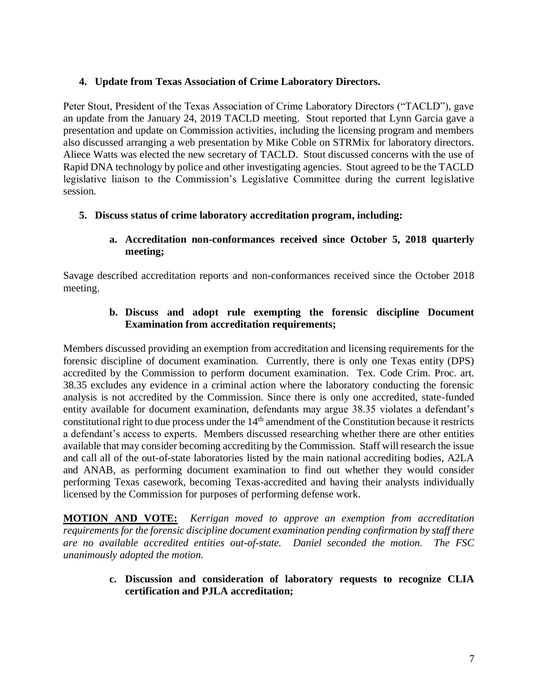### **4. Update from Texas Association of Crime Laboratory Directors.**

Peter Stout, President of the Texas Association of Crime Laboratory Directors ("TACLD"), gave an update from the January 24, 2019 TACLD meeting. Stout reported that Lynn Garcia gave a presentation and update on Commission activities, including the licensing program and members also discussed arranging a web presentation by Mike Coble on STRMix for laboratory directors. Aliece Watts was elected the new secretary of TACLD. Stout discussed concerns with the use of Rapid DNA technology by police and other investigating agencies. Stout agreed to be the TACLD legislative liaison to the Commission's Legislative Committee during the current legislative session.

## **5. Discuss status of crime laboratory accreditation program, including:**

### **a. Accreditation non-conformances received since October 5, 2018 quarterly meeting;**

Savage described accreditation reports and non-conformances received since the October 2018 meeting.

### **b. Discuss and adopt rule exempting the forensic discipline Document Examination from accreditation requirements;**

Members discussed providing an exemption from accreditation and licensing requirements for the forensic discipline of document examination. Currently, there is only one Texas entity (DPS) accredited by the Commission to perform document examination. Tex. Code Crim. Proc. art. 38.35 excludes any evidence in a criminal action where the laboratory conducting the forensic analysis is not accredited by the Commission. Since there is only one accredited, state-funded entity available for document examination, defendants may argue 38.35 violates a defendant's constitutional right to due process under the 14<sup>th</sup> amendment of the Constitution because it restricts a defendant's access to experts. Members discussed researching whether there are other entities available that may consider becoming accrediting by the Commission. Staff will research the issue and call all of the out-of-state laboratories listed by the main national accrediting bodies, A2LA and ANAB, as performing document examination to find out whether they would consider performing Texas casework, becoming Texas-accredited and having their analysts individually licensed by the Commission for purposes of performing defense work.

**MOTION AND VOTE:** *Kerrigan moved to approve an exemption from accreditation requirements for the forensic discipline document examination pending confirmation by staff there are no available accredited entities out-of-state. Daniel seconded the motion. The FSC unanimously adopted the motion.*

### **c. Discussion and consideration of laboratory requests to recognize CLIA certification and PJLA accreditation;**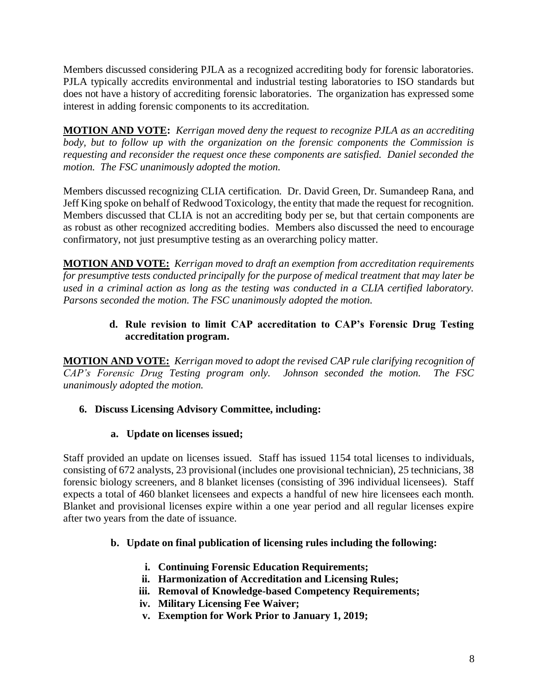Members discussed considering PJLA as a recognized accrediting body for forensic laboratories. PJLA typically accredits environmental and industrial testing laboratories to ISO standards but does not have a history of accrediting forensic laboratories. The organization has expressed some interest in adding forensic components to its accreditation.

**MOTION AND VOTE:** *Kerrigan moved deny the request to recognize PJLA as an accrediting*  body, but to follow up with the organization on the forensic components the Commission is *requesting and reconsider the request once these components are satisfied. Daniel seconded the motion. The FSC unanimously adopted the motion.*

Members discussed recognizing CLIA certification. Dr. David Green, Dr. Sumandeep Rana, and Jeff King spoke on behalf of Redwood Toxicology, the entity that made the request for recognition. Members discussed that CLIA is not an accrediting body per se, but that certain components are as robust as other recognized accrediting bodies. Members also discussed the need to encourage confirmatory, not just presumptive testing as an overarching policy matter.

**MOTION AND VOTE:** *Kerrigan moved to draft an exemption from accreditation requirements for presumptive tests conducted principally for the purpose of medical treatment that may later be used in a criminal action as long as the testing was conducted in a CLIA certified laboratory. Parsons seconded the motion. The FSC unanimously adopted the motion.*

# **d. Rule revision to limit CAP accreditation to CAP's Forensic Drug Testing accreditation program.**

**MOTION AND VOTE:** *Kerrigan moved to adopt the revised CAP rule clarifying recognition of CAP's Forensic Drug Testing program only. Johnson seconded the motion. The FSC unanimously adopted the motion.*

# **6. Discuss Licensing Advisory Committee, including:**

## **a. Update on licenses issued;**

Staff provided an update on licenses issued. Staff has issued 1154 total licenses to individuals, consisting of 672 analysts, 23 provisional (includes one provisional technician), 25 technicians, 38 forensic biology screeners, and 8 blanket licenses (consisting of 396 individual licensees). Staff expects a total of 460 blanket licensees and expects a handful of new hire licensees each month. Blanket and provisional licenses expire within a one year period and all regular licenses expire after two years from the date of issuance.

## **b. Update on final publication of licensing rules including the following:**

- **i. Continuing Forensic Education Requirements;**
- **ii. Harmonization of Accreditation and Licensing Rules;**
- **iii. Removal of Knowledge-based Competency Requirements;**
- **iv. Military Licensing Fee Waiver;**
- **v. Exemption for Work Prior to January 1, 2019;**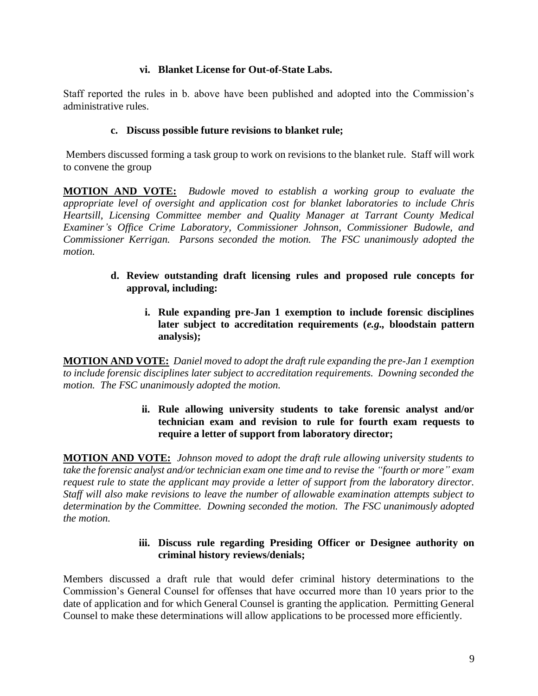### **vi. Blanket License for Out-of-State Labs.**

Staff reported the rules in b. above have been published and adopted into the Commission's administrative rules.

### **c. Discuss possible future revisions to blanket rule;**

Members discussed forming a task group to work on revisions to the blanket rule. Staff will work to convene the group

**MOTION AND VOTE:** *Budowle moved to establish a working group to evaluate the appropriate level of oversight and application cost for blanket laboratories to include Chris Heartsill, Licensing Committee member and Quality Manager at Tarrant County Medical Examiner's Office Crime Laboratory, Commissioner Johnson, Commissioner Budowle, and Commissioner Kerrigan. Parsons seconded the motion. The FSC unanimously adopted the motion.*

- **d. Review outstanding draft licensing rules and proposed rule concepts for approval, including:**
	- **i. Rule expanding pre-Jan 1 exemption to include forensic disciplines later subject to accreditation requirements (***e.g.,* **bloodstain pattern analysis);**

**MOTION AND VOTE:** *Daniel moved to adopt the draft rule expanding the pre-Jan 1 exemption to include forensic disciplines later subject to accreditation requirements. Downing seconded the motion. The FSC unanimously adopted the motion.*

## **ii. Rule allowing university students to take forensic analyst and/or technician exam and revision to rule for fourth exam requests to require a letter of support from laboratory director;**

**MOTION AND VOTE:** *Johnson moved to adopt the draft rule allowing university students to take the forensic analyst and/or technician exam one time and to revise the "fourth or more" exam request rule to state the applicant may provide a letter of support from the laboratory director. Staff will also make revisions to leave the number of allowable examination attempts subject to determination by the Committee. Downing seconded the motion. The FSC unanimously adopted the motion.*

### **iii. Discuss rule regarding Presiding Officer or Designee authority on criminal history reviews/denials;**

Members discussed a draft rule that would defer criminal history determinations to the Commission's General Counsel for offenses that have occurred more than 10 years prior to the date of application and for which General Counsel is granting the application. Permitting General Counsel to make these determinations will allow applications to be processed more efficiently.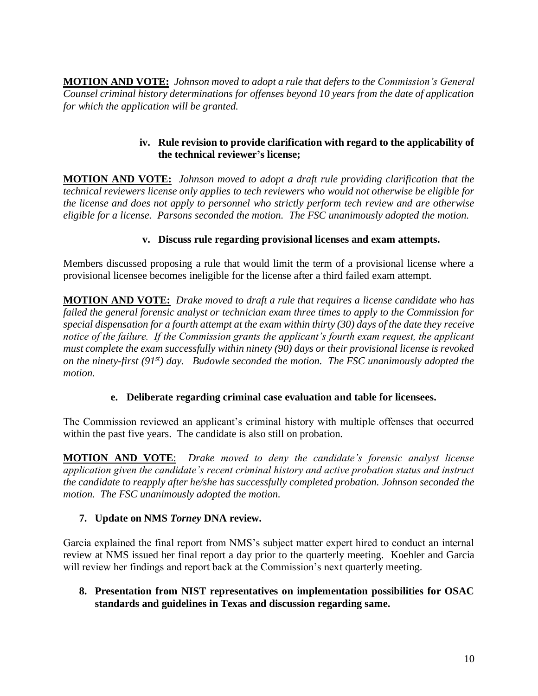**MOTION AND VOTE:** *Johnson moved to adopt a rule that defers to the Commission's General Counsel criminal history determinations for offenses beyond 10 years from the date of application for which the application will be granted.*

## **iv. Rule revision to provide clarification with regard to the applicability of the technical reviewer's license;**

**MOTION AND VOTE:** *Johnson moved to adopt a draft rule providing clarification that the technical reviewers license only applies to tech reviewers who would not otherwise be eligible for the license and does not apply to personnel who strictly perform tech review and are otherwise eligible for a license. Parsons seconded the motion. The FSC unanimously adopted the motion.*

# **v. Discuss rule regarding provisional licenses and exam attempts.**

Members discussed proposing a rule that would limit the term of a provisional license where a provisional licensee becomes ineligible for the license after a third failed exam attempt.

**MOTION AND VOTE:** *Drake moved to draft a rule that requires a license candidate who has failed the general forensic analyst or technician exam three times to apply to the Commission for special dispensation for a fourth attempt at the exam within thirty (30) days of the date they receive notice of the failure. If the Commission grants the applicant's fourth exam request, the applicant must complete the exam successfully within ninety (90) days or their provisional license is revoked on the ninety-first (91st) day. Budowle seconded the motion. The FSC unanimously adopted the motion.*

# **e. Deliberate regarding criminal case evaluation and table for licensees.**

The Commission reviewed an applicant's criminal history with multiple offenses that occurred within the past five years. The candidate is also still on probation.

**MOTION AND VOTE**:*Drake moved to deny the candidate's forensic analyst license application given the candidate's recent criminal history and active probation status and instruct the candidate to reapply after he/she has successfully completed probation. Johnson seconded the motion. The FSC unanimously adopted the motion.*

# **7. Update on NMS** *Torney* **DNA review.**

Garcia explained the final report from NMS's subject matter expert hired to conduct an internal review at NMS issued her final report a day prior to the quarterly meeting. Koehler and Garcia will review her findings and report back at the Commission's next quarterly meeting.

**8. Presentation from NIST representatives on implementation possibilities for OSAC standards and guidelines in Texas and discussion regarding same.**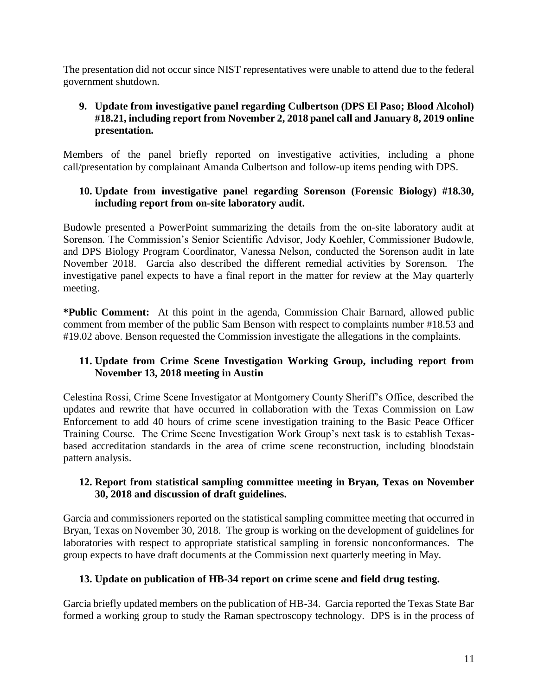The presentation did not occur since NIST representatives were unable to attend due to the federal government shutdown.

## **9. Update from investigative panel regarding Culbertson (DPS El Paso; Blood Alcohol) #18.21, including report from November 2, 2018 panel call and January 8, 2019 online presentation.**

Members of the panel briefly reported on investigative activities, including a phone call/presentation by complainant Amanda Culbertson and follow-up items pending with DPS.

## **10. Update from investigative panel regarding Sorenson (Forensic Biology) #18.30, including report from on-site laboratory audit.**

Budowle presented a PowerPoint summarizing the details from the on-site laboratory audit at Sorenson. The Commission's Senior Scientific Advisor, Jody Koehler, Commissioner Budowle, and DPS Biology Program Coordinator, Vanessa Nelson, conducted the Sorenson audit in late November 2018. Garcia also described the different remedial activities by Sorenson. The investigative panel expects to have a final report in the matter for review at the May quarterly meeting.

**\*Public Comment:** At this point in the agenda, Commission Chair Barnard, allowed public comment from member of the public Sam Benson with respect to complaints number #18.53 and #19.02 above. Benson requested the Commission investigate the allegations in the complaints.

## **11. Update from Crime Scene Investigation Working Group, including report from November 13, 2018 meeting in Austin**

Celestina Rossi, Crime Scene Investigator at Montgomery County Sheriff's Office, described the updates and rewrite that have occurred in collaboration with the Texas Commission on Law Enforcement to add 40 hours of crime scene investigation training to the Basic Peace Officer Training Course. The Crime Scene Investigation Work Group's next task is to establish Texasbased accreditation standards in the area of crime scene reconstruction, including bloodstain pattern analysis.

## **12. Report from statistical sampling committee meeting in Bryan, Texas on November 30, 2018 and discussion of draft guidelines.**

Garcia and commissioners reported on the statistical sampling committee meeting that occurred in Bryan, Texas on November 30, 2018. The group is working on the development of guidelines for laboratories with respect to appropriate statistical sampling in forensic nonconformances. The group expects to have draft documents at the Commission next quarterly meeting in May.

# **13. Update on publication of HB-34 report on crime scene and field drug testing.**

Garcia briefly updated members on the publication of HB-34. Garcia reported the Texas State Bar formed a working group to study the Raman spectroscopy technology. DPS is in the process of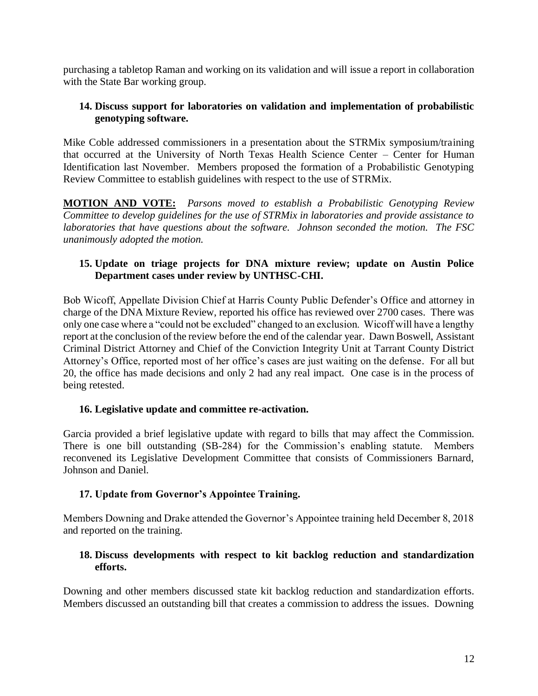purchasing a tabletop Raman and working on its validation and will issue a report in collaboration with the State Bar working group.

## **14. Discuss support for laboratories on validation and implementation of probabilistic genotyping software.**

Mike Coble addressed commissioners in a presentation about the STRMix symposium/training that occurred at the University of North Texas Health Science Center – Center for Human Identification last November. Members proposed the formation of a Probabilistic Genotyping Review Committee to establish guidelines with respect to the use of STRMix.

**MOTION AND VOTE:** *Parsons moved to establish a Probabilistic Genotyping Review Committee to develop guidelines for the use of STRMix in laboratories and provide assistance to laboratories that have questions about the software. Johnson seconded the motion. The FSC unanimously adopted the motion.*

## **15. Update on triage projects for DNA mixture review; update on Austin Police Department cases under review by UNTHSC-CHI.**

Bob Wicoff, Appellate Division Chief at Harris County Public Defender's Office and attorney in charge of the DNA Mixture Review, reported his office has reviewed over 2700 cases. There was only one case where a "could not be excluded" changed to an exclusion. Wicoff will have a lengthy report at the conclusion of the review before the end of the calendar year. Dawn Boswell, Assistant Criminal District Attorney and Chief of the Conviction Integrity Unit at Tarrant County District Attorney's Office, reported most of her office's cases are just waiting on the defense. For all but 20, the office has made decisions and only 2 had any real impact. One case is in the process of being retested.

## **16. Legislative update and committee re-activation.**

Garcia provided a brief legislative update with regard to bills that may affect the Commission. There is one bill outstanding (SB-284) for the Commission's enabling statute. Members reconvened its Legislative Development Committee that consists of Commissioners Barnard, Johnson and Daniel.

## **17. Update from Governor's Appointee Training.**

Members Downing and Drake attended the Governor's Appointee training held December 8, 2018 and reported on the training.

## **18. Discuss developments with respect to kit backlog reduction and standardization efforts.**

Downing and other members discussed state kit backlog reduction and standardization efforts. Members discussed an outstanding bill that creates a commission to address the issues. Downing